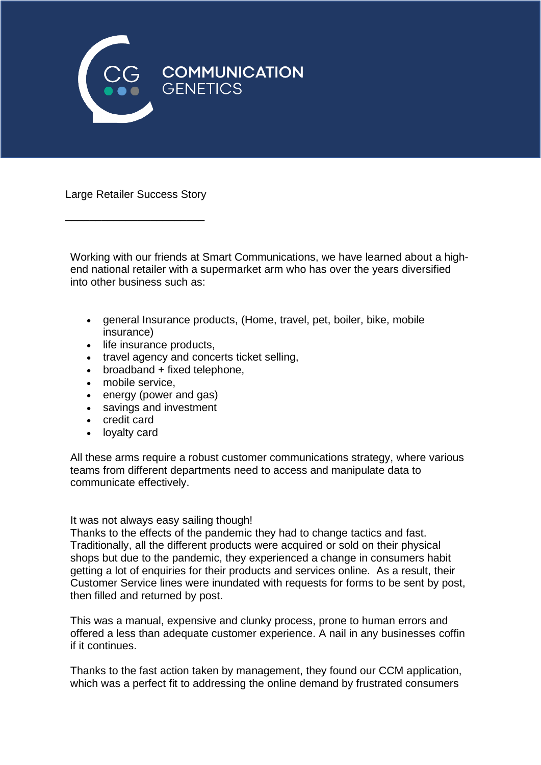

Large Retailer Success Story

\_\_\_\_\_\_\_\_\_\_\_\_\_\_\_\_\_\_\_\_\_\_\_

Working with our friends at Smart Communications, we have learned about a highend national retailer with a supermarket arm who has over the years diversified into other business such as:

- general Insurance products, (Home, travel, pet, boiler, bike, mobile insurance)
- life insurance products,
- travel agency and concerts ticket selling,
- broadband + fixed telephone,
- mobile service,
- energy (power and gas)
- savings and investment
- credit card
- loyalty card

All these arms require a robust customer communications strategy, where various teams from different departments need to access and manipulate data to communicate effectively.

## It was not always easy sailing though!

Thanks to the effects of the pandemic they had to change tactics and fast. Traditionally, all the different products were acquired or sold on their physical shops but due to the pandemic, they experienced a change in consumers habit getting a lot of enquiries for their products and services online. As a result, their Customer Service lines were inundated with requests for forms to be sent by post, then filled and returned by post.

This was a manual, expensive and clunky process, prone to human errors and offered a less than adequate customer experience. A nail in any businesses coffin if it continues.

Thanks to the fast action taken by management, they found our CCM application, which was a perfect fit to addressing the online demand by frustrated consumers